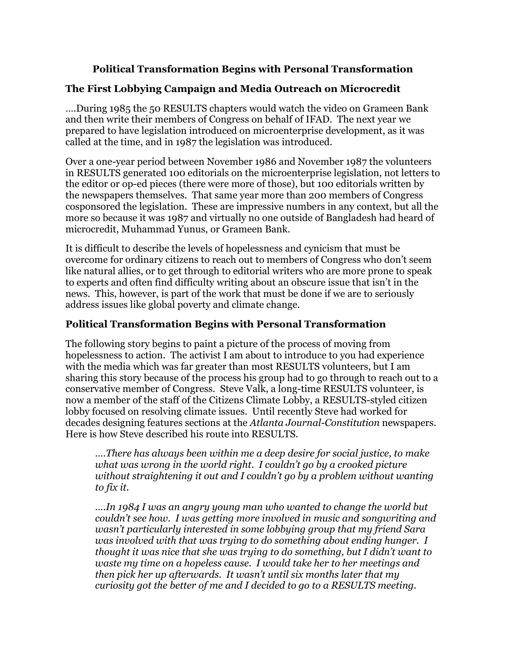## Political Transformation Begins with Personal Transformation

## The First Lobbying Campaign and Media Outreach on Microcredit

….During 1985 the 50 RESULTS chapters would watch the video on Grameen Bank and then write their members of Congress on behalf of IFAD. The next year we prepared to have legislation introduced on microenterprise development, as it was called at the time, and in 1987 the legislation was introduced.

Over a one-year period between November 1986 and November 1987 the volunteers in RESULTS generated 100 editorials on the microenterprise legislation, not letters to the editor or op-ed pieces (there were more of those), but 100 editorials written by the newspapers themselves. That same year more than 200 members of Congress cosponsored the legislation. These are impressive numbers in any context, but all the more so because it was 1987 and virtually no one outside of Bangladesh had heard of microcredit, Muhammad Yunus, or Grameen Bank.

It is difficult to describe the levels of hopelessness and cynicism that must be overcome for ordinary citizens to reach out to members of Congress who don't seem like natural allies, or to get through to editorial writers who are more prone to speak to experts and often find difficulty writing about an obscure issue that isn't in the news. This, however, is part of the work that must be done if we are to seriously address issues like global poverty and climate change.

## Political Transformation Begins with Personal Transformation

The following story begins to paint a picture of the process of moving from hopelessness to action. The activist I am about to introduce to you had experience with the media which was far greater than most RESULTS volunteers, but I am sharing this story because of the process his group had to go through to reach out to a conservative member of Congress. Steve Valk, a long-time RESULTS volunteer, is now a member of the staff of the Citizens Climate Lobby, a RESULTS-styled citizen lobby focused on resolving climate issues. Until recently Steve had worked for decades designing features sections at the Atlanta Journal-Constitution newspapers. Here is how Steve described his route into RESULTS.

….There has always been within me a deep desire for social justice, to make what was wrong in the world right. I couldn't go by a crooked picture without straightening it out and I couldn't go by a problem without wanting to fix it.

….In 1984 I was an angry young man who wanted to change the world but couldn't see how. I was getting more involved in music and songwriting and wasn't particularly interested in some lobbying group that my friend Sara was involved with that was trying to do something about ending hunger. I thought it was nice that she was trying to do something, but I didn't want to waste my time on a hopeless cause. I would take her to her meetings and then pick her up afterwards. It wasn't until six months later that my curiosity got the better of me and I decided to go to a RESULTS meeting.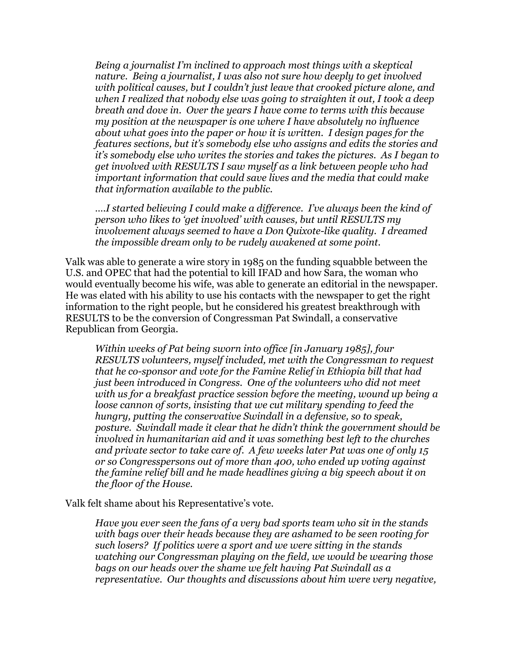Being a journalist I'm inclined to approach most things with a skeptical nature. Being a journalist, I was also not sure how deeply to get involved with political causes, but I couldn't just leave that crooked picture alone, and when I realized that nobody else was going to straighten it out, I took a deep breath and dove in. Over the years I have come to terms with this because my position at the newspaper is one where I have absolutely no influence about what goes into the paper or how it is written. I design pages for the features sections, but it's somebody else who assigns and edits the stories and it's somebody else who writes the stories and takes the pictures. As I began to get involved with RESULTS I saw myself as a link between people who had important information that could save lives and the media that could make that information available to the public.

….I started believing I could make a difference. I've always been the kind of person who likes to 'get involved' with causes, but until RESULTS my involvement always seemed to have a Don Quixote-like quality. I dreamed the impossible dream only to be rudely awakened at some point.

Valk was able to generate a wire story in 1985 on the funding squabble between the U.S. and OPEC that had the potential to kill IFAD and how Sara, the woman who would eventually become his wife, was able to generate an editorial in the newspaper. He was elated with his ability to use his contacts with the newspaper to get the right information to the right people, but he considered his greatest breakthrough with RESULTS to be the conversion of Congressman Pat Swindall, a conservative Republican from Georgia.

Within weeks of Pat being sworn into office [in January 1985], four RESULTS volunteers, myself included, met with the Congressman to request that he co-sponsor and vote for the Famine Relief in Ethiopia bill that had just been introduced in Congress. One of the volunteers who did not meet with us for a breakfast practice session before the meeting, wound up being a loose cannon of sorts, insisting that we cut military spending to feed the hungry, putting the conservative Swindall in a defensive, so to speak, posture. Swindall made it clear that he didn't think the government should be involved in humanitarian aid and it was something best left to the churches and private sector to take care of. A few weeks later Pat was one of only 15 or so Congresspersons out of more than 400, who ended up voting against the famine relief bill and he made headlines giving a big speech about it on the floor of the House.

Valk felt shame about his Representative's vote.

Have you ever seen the fans of a very bad sports team who sit in the stands with bags over their heads because they are ashamed to be seen rooting for such losers? If politics were a sport and we were sitting in the stands watching our Congressman playing on the field, we would be wearing those bags on our heads over the shame we felt having Pat Swindall as a representative. Our thoughts and discussions about him were very negative,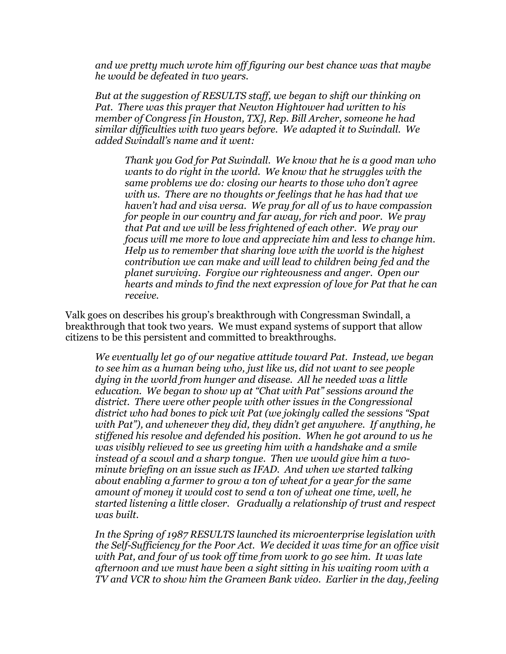and we pretty much wrote him off figuring our best chance was that maybe he would be defeated in two years.

But at the suggestion of RESULTS staff, we began to shift our thinking on Pat. There was this prayer that Newton Hightower had written to his member of Congress [in Houston, TX], Rep. Bill Archer, someone he had similar difficulties with two years before. We adapted it to Swindall. We added Swindall's name and it went:

Thank you God for Pat Swindall. We know that he is a good man who wants to do right in the world. We know that he struggles with the same problems we do: closing our hearts to those who don't agree with us. There are no thoughts or feelings that he has had that we haven't had and visa versa. We pray for all of us to have compassion for people in our country and far away, for rich and poor. We pray that Pat and we will be less frightened of each other. We pray our focus will me more to love and appreciate him and less to change him. Help us to remember that sharing love with the world is the highest contribution we can make and will lead to children being fed and the planet surviving. Forgive our righteousness and anger. Open our hearts and minds to find the next expression of love for Pat that he can receive.

Valk goes on describes his group's breakthrough with Congressman Swindall, a breakthrough that took two years. We must expand systems of support that allow citizens to be this persistent and committed to breakthroughs.

We eventually let go of our negative attitude toward Pat. Instead, we began to see him as a human being who, just like us, did not want to see people dying in the world from hunger and disease. All he needed was a little education. We began to show up at "Chat with Pat" sessions around the district. There were other people with other issues in the Congressional district who had bones to pick wit Pat (we jokingly called the sessions "Spat with Pat"), and whenever they did, they didn't get anywhere. If anything, he stiffened his resolve and defended his position. When he got around to us he was visibly relieved to see us greeting him with a handshake and a smile instead of a scowl and a sharp tongue. Then we would give him a twominute briefing on an issue such as IFAD. And when we started talking about enabling a farmer to grow a ton of wheat for a year for the same amount of money it would cost to send a ton of wheat one time, well, he started listening a little closer. Gradually a relationship of trust and respect was built.

In the Spring of 1987 RESULTS launched its microenterprise legislation with the Self-Sufficiency for the Poor Act. We decided it was time for an office visit with Pat, and four of us took off time from work to go see him. It was late afternoon and we must have been a sight sitting in his waiting room with a TV and VCR to show him the Grameen Bank video. Earlier in the day, feeling